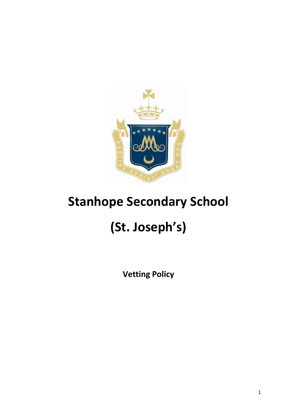

## **Stanhope Secondary School**

# **(St. Joseph's)**

**Vetting Policy**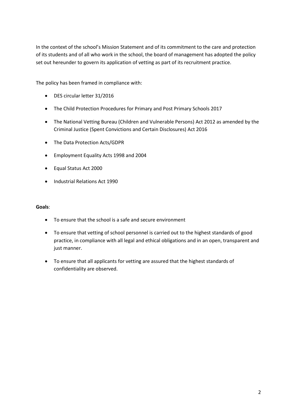In the context of the school's Mission Statement and of its commitment to the care and protection of its students and of all who work in the school, the board of management has adopted the policy set out hereunder to govern its application of vetting as part of its recruitment practice.

The policy has been framed in compliance with:

- DES circular letter 31/2016
- The Child Protection Procedures for Primary and Post Primary Schools 2017
- The National Vetting Bureau (Children and Vulnerable Persons) Act 2012 as amended by the Criminal Justice (Spent Convictions and Certain Disclosures) Act 2016
- The Data Protection Acts/GDPR
- Employment Equality Acts 1998 and 2004
- Equal Status Act 2000
- Industrial Relations Act 1990

#### **Goals**:

- To ensure that the school is a safe and secure environment
- To ensure that vetting of school personnel is carried out to the highest standards of good practice, in compliance with all legal and ethical obligations and in an open, transparent and just manner.
- To ensure that all applicants for vetting are assured that the highest standards of confidentiality are observed.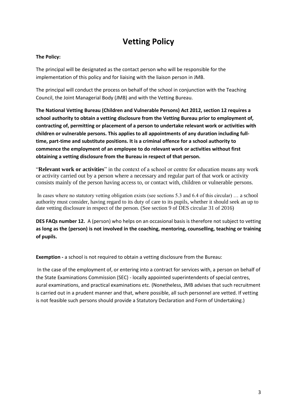### **Vetting Policy**

#### **The Policy:**

The principal will be designated as the contact person who will be responsible for the implementation of this policy and for liaising with the liaison person in JMB.

The principal will conduct the process on behalf of the school in conjunction with the Teaching Council, the Joint Managerial Body (JMB) and with the Vetting Bureau.

**The National Vetting Bureau (Children and Vulnerable Persons) Act 2012, section 12 requires a school authority to obtain a vetting disclosure from the Vetting Bureau prior to employment of, contracting of, permitting or placement of a person to undertake relevant work or activities with children or vulnerable persons. This applies to all appointments of any duration including fulltime, part-time and substitute positions. It is a criminal offence for a school authority to commence the employment of an employee to do relevant work or activities without first obtaining a vetting disclosure from the Bureau in respect of that person.**

"**Relevant work or activities**" in the context of a school or centre for education means any work or activity carried out by a person where a necessary and regular part of that work or activity consists mainly of the person having access to, or contact with, children or vulnerable persons.

In cases where no statutory vetting obligation exists (see sections 5.3 and 6.4 of this circular) … a school authority must consider, having regard to its duty of care to its pupils, whether it should seek an up to date vetting disclosure in respect of the person. (See section 9 of DES circular 31 of 2016)

**DES FAQs number 12.** A (person) who helps on an occasional basis is therefore not subject to vetting **as long as the (person) is not involved in the coaching, mentoring, counselling, teaching or training of pupils.**

**Exemption -** a school is not required to obtain a vetting disclosure from the Bureau:

In the case of the employment of, or entering into a contract for services with, a person on behalf of the State Examinations Commission (SEC) - locally appointed superintendents of special centres, aural examinations, and practical examinations etc. (Nonetheless, JMB advises that such recruitment is carried out in a prudent manner and that, where possible, all such personnel are vetted. If vetting is not feasible such persons should provide a Statutory Declaration and Form of Undertaking.)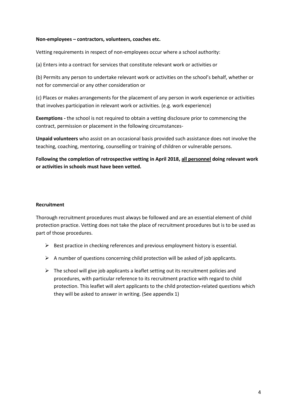#### **Non-employees – contractors, volunteers, coaches etc.**

Vetting requirements in respect of non-employees occur where a school authority:

(a) Enters into a contract for services that constitute relevant work or activities or

(b) Permits any person to undertake relevant work or activities on the school's behalf, whether or not for commercial or any other consideration or

(c) Places or makes arrangements for the placement of any person in work experience or activities that involves participation in relevant work or activities. (e.g. work experience)

**Exemptions -** the school is not required to obtain a vetting disclosure prior to commencing the contract, permission or placement in the following circumstances-

**Unpaid volunteers** who assist on an occasional basis provided such assistance does not involve the teaching, coaching, mentoring, counselling or training of children or vulnerable persons.

**Following the completion of retrospective vetting in April 2018, all personnel doing relevant work or activities in schools must have been vetted.**

#### **Recruitment**

Thorough recruitment procedures must always be followed and are an essential element of child protection practice. Vetting does not take the place of recruitment procedures but is to be used as part of those procedures.

- $\triangleright$  Best practice in checking references and previous employment history is essential.
- $\triangleright$  A number of questions concerning child protection will be asked of job applicants.
- $\triangleright$  The school will give job applicants a leaflet setting out its recruitment policies and procedures, with particular reference to its recruitment practice with regard to child protection. This leaflet will alert applicants to the child protection-related questions which they will be asked to answer in writing. (See appendix 1)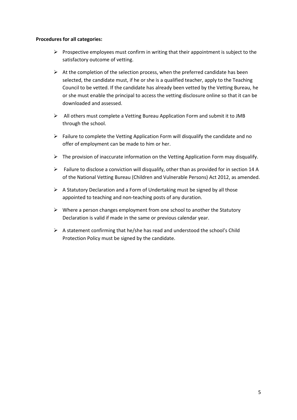#### **Procedures for all categories:**

- $\triangleright$  Prospective employees must confirm in writing that their appointment is subject to the satisfactory outcome of vetting.
- $\triangleright$  At the completion of the selection process, when the preferred candidate has been selected, the candidate must, if he or she is a qualified teacher, apply to the Teaching Council to be vetted. If the candidate has already been vetted by the Vetting Bureau, he or she must enable the principal to access the vetting disclosure online so that it can be downloaded and assessed.
- $\triangleright$  All others must complete a Vetting Bureau Application Form and submit it to JMB through the school.
- $\triangleright$  Failure to complete the Vetting Application Form will disqualify the candidate and no offer of employment can be made to him or her.
- $\triangleright$  The provision of inaccurate information on the Vetting Application Form may disqualify.
- $\triangleright$  Failure to disclose a conviction will disqualify, other than as provided for in section 14 A of the National Vetting Bureau (Children and Vulnerable Persons) Act 2012, as amended.
- $\triangleright$  A Statutory Declaration and a Form of Undertaking must be signed by all those appointed to teaching and non-teaching posts of any duration.
- $\triangleright$  Where a person changes employment from one school to another the Statutory Declaration is valid if made in the same or previous calendar year.
- $\triangleright$  A statement confirming that he/she has read and understood the school's Child Protection Policy must be signed by the candidate.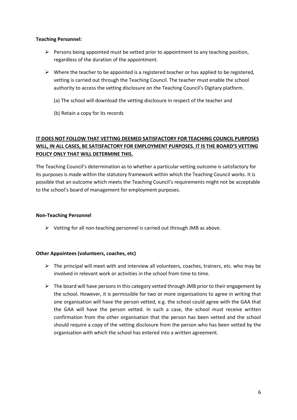#### **Teaching Personnel:**

- $\triangleright$  Persons being appointed must be vetted prior to appointment to any teaching position, regardless of the duration of the appointment.
- $\triangleright$  Where the teacher to be appointed is a registered teacher or has applied to be registered, vetting is carried out through the Teaching Council. The teacher must enable the school authority to access the vetting disclosure on the Teaching Council's Digitary platform.
	- (a) The school will download the vetting disclosure in respect of the teacher and
	- (b) Retain a copy for its records

#### **IT DOES NOT FOLLOW THAT VETTING DEEMED SATISFACTORY FOR TEACHING COUNCIL PURPOSES WILL, IN ALL CASES, BE SATISFACTORY FOR EMPLOYMENT PURPOSES. IT IS THE BOARD'S VETTING POLICY ONLY THAT WILL DETERMINE THIS.**

The Teaching Council's determination as to whether a particular vetting outcome is satisfactory for its purposes is made within the statutory framework within which the Teaching Council works. It is possible that an outcome which meets the Teaching Council's requirements might not be acceptable to the school's board of management for employment purposes.

#### **Non-Teaching Personnel**

 $\triangleright$  Vetting for all non-teaching personnel is carried out through JMB as above.

#### **Other Appointees (volunteers, coaches, etc)**

- $\triangleright$  The principal will meet with and interview all volunteers, coaches, trainers, etc. who may be involved in relevant work or activities in the school from time to time.
- $\triangleright$  The board will have persons in this category vetted through JMB prior to their engagement by the school. However, it is permissible for two or more organisations to agree in writing that one organisation will have the person vetted, e.g. the school could agree with the GAA that the GAA will have the person vetted. In such a case, the school must receive written confirmation from the other organisation that the person has been vetted and the school should require a copy of the vetting disclosure from the person who has been vetted by the organisation with which the school has entered into a written agreement.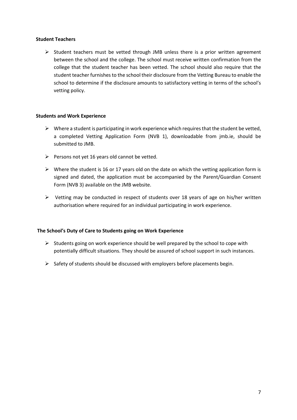#### **Student Teachers**

 $\triangleright$  Student teachers must be vetted through JMB unless there is a prior written agreement between the school and the college. The school must receive written confirmation from the college that the student teacher has been vetted. The school should also require that the student teacher furnishes to the school their disclosure from the Vetting Bureau to enable the school to determine if the disclosure amounts to satisfactory vetting in terms of the school's vetting policy.

#### **Students and Work Experience**

- $\triangleright$  Where a student is participating in work experience which requires that the student be vetted, a completed Vetting Application Form (NVB 1), downloadable from jmb.ie, should be submitted to JMB.
- $\triangleright$  Persons not yet 16 years old cannot be vetted.
- $\triangleright$  Where the student is 16 or 17 years old on the date on which the vetting application form is signed and dated, the application must be accompanied by the Parent/Guardian Consent Form (NVB 3) available on the JMB website.
- $\triangleright$  Vetting may be conducted in respect of students over 18 years of age on his/her written authorisation where required for an individual participating in work experience.

#### **The School's Duty of Care to Students going on Work Experience**

- $\triangleright$  Students going on work experience should be well prepared by the school to cope with potentially difficult situations. They should be assured of school support in such instances.
- $\triangleright$  Safety of students should be discussed with employers before placements begin.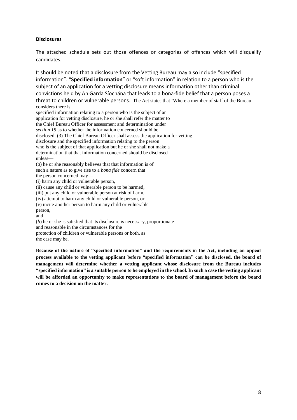#### **Disclosures**

The attached schedule sets out those offences or categories of offences which will disqualify candidates.

It should be noted that a disclosure from the Vetting Bureau may also include "specified information". "**Specified information**" or "soft information" in relation to a person who is the subject of an application for a vetting disclosure means information other than criminal convictions held by An Garda Síochána that leads to a bona-fide belief that a person poses a threat to children or vulnerable persons. The Act states that 'Where a member of staff of the Bureau considers there is

specified information relating to a person who is the subject of an application for vetting disclosure, he or she shall refer the matter to the Chief Bureau Officer for assessment and determination under *section 15* as to whether the information concerned should be disclosed. (3) The Chief Bureau Officer shall assess the application for vetting disclosure and the specified information relating to the person who is the subject of that application but he or she shall not make a determination that that information concerned should be disclosed unless— (*a*) he or she reasonably believes that that information is of

such a nature as to give rise to a *bona fide* concern that the person concerned may—

(i) harm any child or vulnerable person,

(ii) cause any child or vulnerable person to be harmed,

(iii) put any child or vulnerable person at risk of harm,

(iv) attempt to harm any child or vulnerable person, or

(v) incite another person to harm any child or vulnerable

person,

and

(*b*) he or she is satisfied that its disclosure is necessary, proportionate and reasonable in the circumstances for the

protection of children or vulnerable persons or both, as

the case may be.

**Because of the nature of "specified information" and the requirements in the Act, including an appeal process available to the vetting applicant before "specified information" can be disclosed, the board of management will determine whether a vetting applicant whose disclosure from the Bureau includes "specified information" is a suitable person to be employed in the school. In such a case the vetting applicant will be afforded an opportunity to make representations to the board of management before the board comes to a decision on the matter.**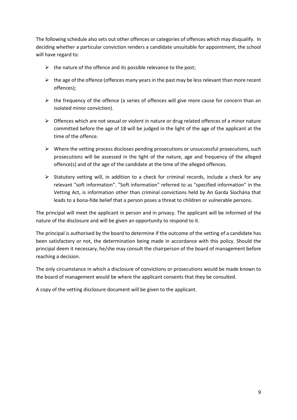The following schedule also sets out other offences or categories of offences which may disqualify. In deciding whether a particular conviction renders a candidate unsuitable for appointment, the school will have regard to:

- $\triangleright$  the nature of the offence and its possible relevance to the post;
- $\triangleright$  the age of the offence (offences many years in the past may be less relevant than more recent offences);
- $\triangleright$  the frequency of the offence (a series of offences will give more cause for concern than an isolated minor conviction).
- $\triangleright$  Offences which are not sexual or violent in nature or drug related offences of a minor nature committed before the age of 18 will be judged in the light of the age of the applicant at the time of the offence.
- $\triangleright$  Where the vetting process discloses pending prosecutions or unsuccessful prosecutions, such prosecutions will be assessed in the light of the nature, age and frequency of the alleged offence(s) and of the age of the candidate at the time of the alleged offences.
- $\triangleright$  Statutory vetting will, in addition to a check for criminal records, include a check for any relevant "soft information". "Soft information" referred to as "specified information" in the Vetting Act, is information other than criminal convictions held by An Garda Síochána that leads to a bona-fide belief that a person poses a threat to children or vulnerable persons.

The principal will meet the applicant in person and in privacy. The applicant will be informed of the nature of the disclosure and will be given an opportunity to respond to it.

The principal is authorised by the board to determine if the outcome of the vetting of a candidate has been satisfactory or not, the determination being made in accordance with this policy. Should the principal deem it necessary, he/she may consult the chairperson of the board of management before reaching a decision.

The only circumstance in which a disclosure of convictions or prosecutions would be made known to the board of management would be where the applicant consents that they be consulted.

A copy of the vetting disclosure document will be given to the applicant.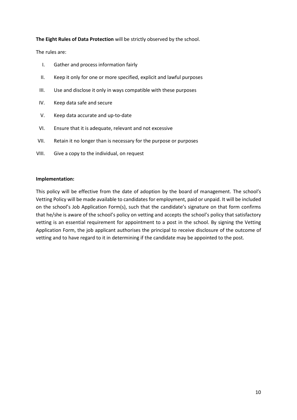#### **The Eight Rules of Data Protection** will be strictly observed by the school.

The rules are:

- I. Gather and process information fairly
- II. Keep it only for one or more specified, explicit and lawful purposes
- III. Use and disclose it only in ways compatible with these purposes
- IV. Keep data safe and secure
- V. Keep data accurate and up-to-date
- VI. Ensure that it is adequate, relevant and not excessive
- VII. Retain it no longer than is necessary for the purpose or purposes
- VIII. Give a copy to the individual, on request

#### **Implementation:**

This policy will be effective from the date of adoption by the board of management. The school's Vetting Policy will be made available to candidates for employment, paid or unpaid. It will be included on the school's Job Application Form(s), such that the candidate's signature on that form confirms that he/she is aware of the school's policy on vetting and accepts the school's policy that satisfactory vetting is an essential requirement for appointment to a post in the school. By signing the Vetting Application Form, the job applicant authorises the principal to receive disclosure of the outcome of vetting and to have regard to it in determining if the candidate may be appointed to the post.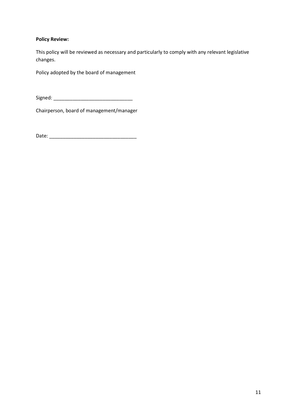#### **Policy Review:**

This policy will be reviewed as necessary and particularly to comply with any relevant legislative changes.

Policy adopted by the board of management

Signed: \_\_\_\_\_\_\_\_\_\_\_\_\_\_\_\_\_\_\_\_\_\_\_\_\_\_\_\_\_

Chairperson, board of management/manager

Date: \_\_\_\_\_\_\_\_\_\_\_\_\_\_\_\_\_\_\_\_\_\_\_\_\_\_\_\_\_\_\_\_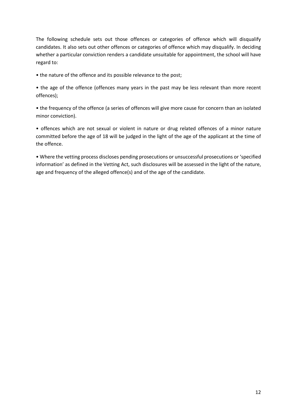The following schedule sets out those offences or categories of offence which will disqualify candidates. It also sets out other offences or categories of offence which may disqualify. In deciding whether a particular conviction renders a candidate unsuitable for appointment, the school will have regard to:

• the nature of the offence and its possible relevance to the post;

• the age of the offence (offences many years in the past may be less relevant than more recent offences);

• the frequency of the offence (a series of offences will give more cause for concern than an isolated minor conviction).

• offences which are not sexual or violent in nature or drug related offences of a minor nature committed before the age of 18 will be judged in the light of the age of the applicant at the time of the offence.

• Where the vetting process discloses pending prosecutions or unsuccessful prosecutions or 'specified information' as defined in the Vetting Act, such disclosures will be assessed in the light of the nature, age and frequency of the alleged offence(s) and of the age of the candidate.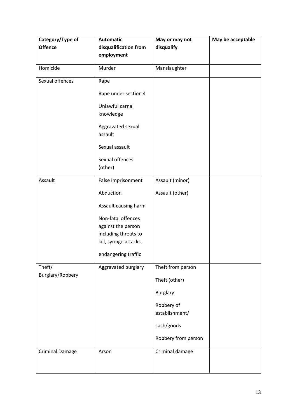| Category/Type of       | <b>Automatic</b>             | May or may not               | May be acceptable |
|------------------------|------------------------------|------------------------------|-------------------|
| <b>Offence</b>         | disqualification from        | disqualify                   |                   |
|                        | employment                   |                              |                   |
| Homicide               | Murder                       | Manslaughter                 |                   |
| Sexual offences        | Rape                         |                              |                   |
|                        | Rape under section 4         |                              |                   |
|                        | Unlawful carnal<br>knowledge |                              |                   |
|                        | Aggravated sexual<br>assault |                              |                   |
|                        | Sexual assault               |                              |                   |
|                        | Sexual offences              |                              |                   |
|                        | (other)                      |                              |                   |
| Assault                | False imprisonment           | Assault (minor)              |                   |
|                        | Abduction                    | Assault (other)              |                   |
|                        | Assault causing harm         |                              |                   |
|                        | Non-fatal offences           |                              |                   |
|                        | against the person           |                              |                   |
|                        | including threats to         |                              |                   |
|                        | kill, syringe attacks,       |                              |                   |
|                        | endangering traffic          |                              |                   |
| Theft/                 | Aggravated burglary          | Theft from person            |                   |
| Burglary/Robbery       |                              | Theft (other)                |                   |
|                        |                              | <b>Burglary</b>              |                   |
|                        |                              | Robbery of<br>establishment/ |                   |
|                        |                              | cash/goods                   |                   |
|                        |                              | Robbery from person          |                   |
| <b>Criminal Damage</b> | Arson                        | Criminal damage              |                   |
|                        |                              |                              |                   |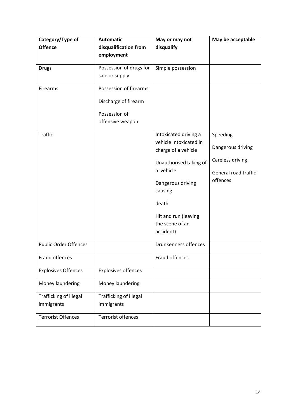| Category/Type of             | <b>Automatic</b>           | May or may not                                | May be acceptable    |
|------------------------------|----------------------------|-----------------------------------------------|----------------------|
| <b>Offence</b>               | disqualification from      | disqualify                                    |                      |
|                              | employment                 |                                               |                      |
| <b>Drugs</b>                 | Possession of drugs for    | Simple possession                             |                      |
|                              | sale or supply             |                                               |                      |
| Firearms                     | Possession of firearms     |                                               |                      |
|                              | Discharge of firearm       |                                               |                      |
|                              | Possession of              |                                               |                      |
|                              | offensive weapon           |                                               |                      |
| <b>Traffic</b>               |                            | Intoxicated driving a                         | Speeding             |
|                              |                            | vehicle Intoxicated in<br>charge of a vehicle | Dangerous driving    |
|                              |                            | Unauthorised taking of                        | Careless driving     |
|                              |                            | a vehicle                                     | General road traffic |
|                              |                            | Dangerous driving                             | offences             |
|                              |                            | causing                                       |                      |
|                              |                            | death                                         |                      |
|                              |                            | Hit and run (leaving                          |                      |
|                              |                            | the scene of an                               |                      |
|                              |                            | accident)                                     |                      |
| <b>Public Order Offences</b> |                            | Drunkenness offences                          |                      |
| Fraud offences               |                            | Fraud offences                                |                      |
| <b>Explosives Offences</b>   | <b>Explosives offences</b> |                                               |                      |
| Money laundering             | Money laundering           |                                               |                      |
| Trafficking of illegal       | Trafficking of illegal     |                                               |                      |
| immigrants                   | immigrants                 |                                               |                      |
| <b>Terrorist Offences</b>    | Terrorist offences         |                                               |                      |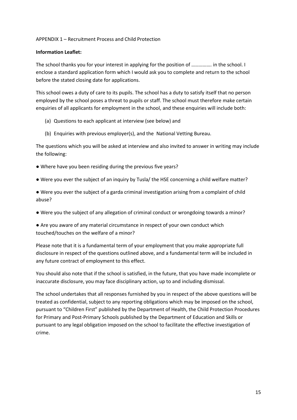#### APPENDIX 1 – Recruitment Process and Child Protection

#### **Information Leaflet:**

The school thanks you for your interest in applying for the position of ……………. in the school. I enclose a standard application form which I would ask you to complete and return to the school before the stated closing date for applications.

This school owes a duty of care to its pupils. The school has a duty to satisfy itself that no person employed by the school poses a threat to pupils or staff. The school must therefore make certain enquiries of all applicants for employment in the school, and these enquiries will include both:

- (a) Questions to each applicant at interview (see below) and
- (b) Enquiries with previous employer(s), and the National Vetting Bureau.

The questions which you will be asked at interview and also invited to answer in writing may include the following:

- Where have you been residing during the previous five years?
- Were you ever the subject of an inquiry by Tusla/ the HSE concerning a child welfare matter?
- Were you ever the subject of a garda criminal investigation arising from a complaint of child abuse?
- Were you the subject of any allegation of criminal conduct or wrongdoing towards a minor?
- Are you aware of any material circumstance in respect of your own conduct which touched/touches on the welfare of a minor?

Please note that it is a fundamental term of your employment that you make appropriate full disclosure in respect of the questions outlined above, and a fundamental term will be included in any future contract of employment to this effect.

You should also note that if the school is satisfied, in the future, that you have made incomplete or inaccurate disclosure, you may face disciplinary action, up to and including dismissal.

The school undertakes that all responses furnished by you in respect of the above questions will be treated as confidential, subject to any reporting obligations which may be imposed on the school, pursuant to "Children First" published by the Department of Health, the Child Protection Procedures for Primary and Post-Primary Schools published by the Department of Education and Skills or pursuant to any legal obligation imposed on the school to facilitate the effective investigation of crime.